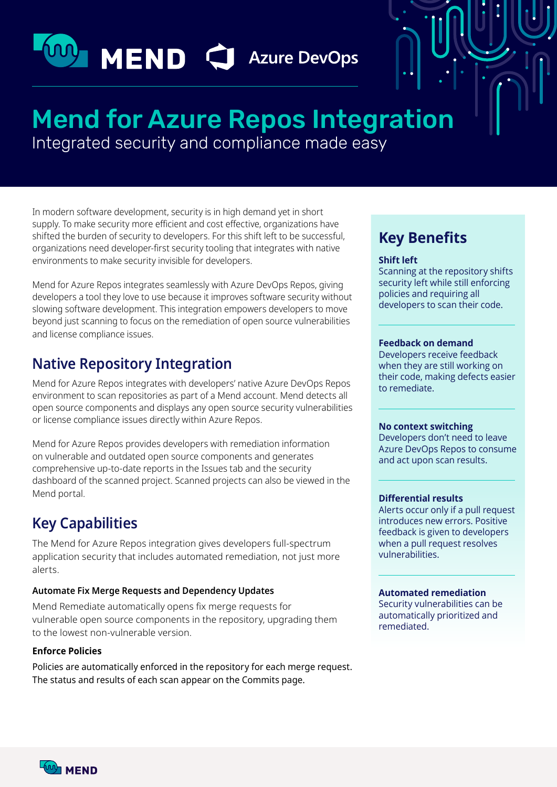# **MO MEND C** Azure DevOps

## **Mend for Azure Repos Integration**

Integrated security and compliance made easy

In modern software development, security is in high demand vet in short supply. To make security more efficient and cost effective, organizations have shifted the burden of security to developers. For this shift left to be successful, organizations need developer-first security tooling that integrates with native environments to make security invisible for developers.

Mend for Azure Repos integrates seamlessly with Azure DevOps Repos, giving developers a tool they love to use because it improves software security without slowing software development. This integration empowers developers to move beyond just scanning to focus on the remediation of open source vulnerabilities and license compliance issues.

## **Native Repository Integration**

Mend for Azure Repos integrates with developers' native Azure DevOps Repos environment to scan repositories as part of a Mend account. Mend detects all open source components and displays any open source security vulnerabilities or license compliance issues directly within Azure Repos.

Mend for Azure Repos provides developers with remediation information on vulnerable and outdated open source components and generates comprehensive up-to-date reports in the Issues tab and the security dashboard of the scanned project. Scanned projects can also be viewed in the Mend portal.

## **Key Capabilities**

The Mend for Azure Repos integration gives developers full-spectrum application security that includes automated remediation, not just more .alerts

#### **Automate Fix Merge Requests and Dependency Updates**

Mend Remediate automatically opens fix merge requests for vulnerable open source components in the repository, upgrading them to the lowest non-vulnerable version.

#### **Enforce Policies**

Policies are automatically enforced in the repository for each merge request. The status and results of each scan appear on the Commits page.

## **Key Benefits**

#### **Shift** left

Scanning at the repository shifts security left while still enforcing policies and requiring all developers to scan their code.

#### **Feedback on demand**

Developers receive feedback when they are still working on their code, making defects easier to remediate.

#### **No context switching**

Developers don't need to leave Azure DevOps Repos to consume and act upon scan results.

#### **Differential results**

Alerts occur only if a pull request introduces new errors. Positive feedback is given to developers when a pull request resolves .vulnerabilities

#### **remediation Automated**

Security vulnerabilities can be automatically prioritized and .remediated